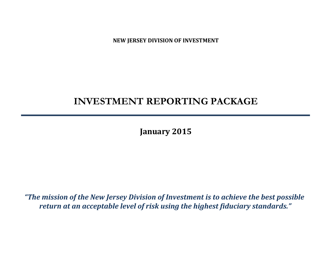**NEW JERSEY DIVISION OF INVESTMENT**

# **INVESTMENT REPORTING PACKAGE**

**January 2015**

*"The mission of the New Jersey Division of Investment is to achieve the best possible return at an acceptable level of risk using the highest fiduciary standards."*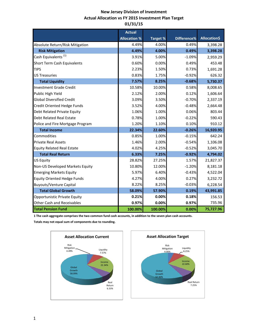# **New Jersey Division of Investment Actual Allocation vs FY 2015 Investment Plan Target 01/31/15**

|                                    | <b>Actual</b>       |                 |             |                     |
|------------------------------------|---------------------|-----------------|-------------|---------------------|
|                                    | <b>Allocation %</b> | <b>Target %</b> | Difference% | <b>Allocation\$</b> |
| Absolute Return/Risk Mitigation    | 4.49%               | 4.00%           | 0.49%       | 3,398.28            |
| <b>Risk Mitigation</b>             | 4.49%               | 4.00%           | 0.49%       | 3,398.28            |
| Cash Equivalents <sup>(1)</sup>    | 3.91%               | 5.00%           | $-1.09%$    | 2,959.29            |
| Short Term Cash Equivalents        | 0.60%               | 0.00%           | 0.49%       | 453.48              |
| <b>TIPS</b>                        | 2.23%               | 1.50%           | 0.73%       | 1,691.28            |
| <b>US Treasuries</b>               | 0.83%               | 1.75%           | $-0.92%$    | 626.32              |
| <b>Total Liquidity</b>             | 7.57%               | 8.25%           | $-0.68%$    | 5,730.37            |
| <b>Investment Grade Credit</b>     | 10.58%              | 10.00%          | 0.58%       | 8,008.65            |
| Public High Yield                  | 2.12%               | 2.00%           | 0.12%       | 1,606.64            |
| <b>Global Diversified Credit</b>   | 3.09%               | 3.50%           | $-0.70%$    | 2,337.19            |
| Credit Oriented Hedge Funds        | 3.52%               | 4.00%           | $-0.48%$    | 2,664.48            |
| Debt Related Private Equity        | 1.06%               | 1.00%           | 0.06%       | 803.44              |
| <b>Debt Related Real Estate</b>    | 0.78%               | 1.00%           | $-0.22%$    | 590.43              |
| Police and Fire Mortgage Program   | 1.20%               | 1.10%           | 0.10%       | 910.12              |
| <b>Total Income</b>                | 22.34%              | 22.60%          | $-0.26%$    | 16,920.95           |
| Commodities                        | 0.85%               | 1.00%           | $-0.15%$    | 642.24              |
| <b>Private Real Assets</b>         | 1.46%               | 2.00%           | $-0.54%$    | 1,106.08            |
| <b>Equity Related Real Estate</b>  | 4.02%               | 4.25%           | $-0.52%$    | 3,045.70            |
| <b>Total Real Return</b>           | 6.33%               | 7.25%           | $-0.92%$    | 4,794.02            |
| <b>US Equity</b>                   | 28.82%              | 27.25%          | 1.57%       | 21,827.37           |
| Non-US Developed Markets Equity    | 10.80%              | 12.00%          | $-1.20%$    | 8,181.18            |
| <b>Emerging Markets Equity</b>     | 5.97%               | 6.40%           | $-0.43%$    | 4,522.04            |
| <b>Equity Oriented Hedge Funds</b> | 4.27%               | 4.00%           | 0.27%       | 3,232.72            |
| <b>Buyouts/Venture Capital</b>     | 8.22%               | 8.25%           | $-0.03%$    | 6,228.54            |
| <b>Total Global Growth</b>         | 58.09%              | 57.90%          | 0.19%       | 43,991.85           |
| Opportunistic Private Equity       | 0.21%               | 0.00%           | 0.18%       | 156.53              |
| <b>Other Cash and Receivables</b>  | 0.97%               | 0.00%           | 0.97%       | 735.96              |
| <b>Total Pension Fund</b>          | 100.00%             | 100.00%         | 0.00%       | 75,727.96           |

**1 The cash aggregate comprises the two common fund cash accounts, in addition to the seven plan cash accounts.** 

**Totals may not equal sum of components due to rounding.**



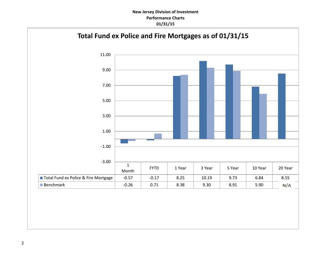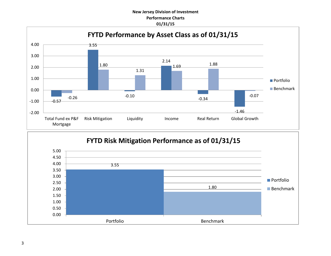

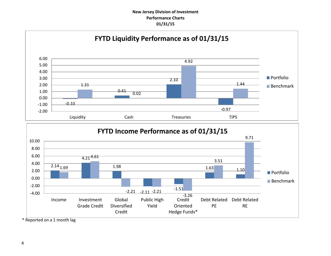



\* Reported on a 1 month lag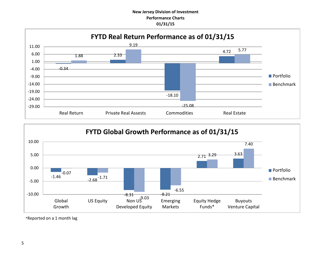



\*Reported on a 1 month lag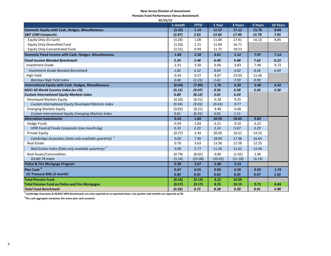#### **New Jersey Division of Investment**

**Pension Fund Performance Versus Benchmark**

| 01/31/15                                                          |         |             |         |         |         |          |
|-------------------------------------------------------------------|---------|-------------|---------|---------|---------|----------|
|                                                                   | 1 month | <b>FYTD</b> | 1 Year  | 3 Years | 5 Years | 10 Years |
| Domestic Equity with Cash, Hedges, Miscellaneous                  | (3.20)  | 1.14        | 11.57   | 17.12   | 15.76   | 8.69     |
| S&P 1500 Composite                                                | (2.87)  | 2.63        | 13.66   | 17.40   | 15.78   | 7.85     |
| Equity Only (Ex Cash)                                             | (3.26)  | 1.08        | 11.80   | 17.41   | 16.10   | 8.85     |
| <b>Equity Only-Diversified Fund</b>                               | (3.20)  | 1.21        | 11.84   | 16.71   |         |          |
| <b>Equity Only-Concentrated Fund</b>                              | (3.31)  | 0.94        | 11.75   | 18.53   |         |          |
| Domestic Fixed Income with Cash, Hedges, Miscellaneous            | 1.68    | 2.28        | 6.61    | 5.12    | 7.97    | 7.14     |
| <b>Fixed Income Blended Benchmark</b>                             | 2.24    | 2.48        | 6.40    | 4.48    | 7.62    | 6.23     |
| <b>Investment Grade</b>                                           | 2.31    | 3.30        | 6.66    | 3.83    | 7.48    | 6.72     |
| <b>Investment Grade Blended Benchmark</b>                         | 2.85    | 4.32        | 8.04    | 4.02    | 8.56    | 6.69     |
| High Yield                                                        | 0.34    | 0.27        | 8.87    | 13.03   | 11.46   |          |
| <b>Barclays High Yield Index</b>                                  | 0.66    | (2.21)      | 2.41    | 7.59    | 8.90    |          |
| International Equity with Cash, Hedges, Miscellaneous             | (0.04)  | (7.89)      | 1.76    | 6.20    | 3.48    | 4.32     |
| <b>MSCI All World Country Index (ex US)</b>                       | (0.15)  | (9.07)      | 0.56    | 6.58    | 5.45    | 5.30     |
| <b>Custom International Equity Markets Index</b>                  | 0.00    | (8.12)      | 2.01    | 6.24    |         |          |
| Developed Markets Equity                                          | (0.20)  | (8.31)      | 0.28    | 9.25    |         |          |
| Custom International Equity Developed Markets Index               | (0.34)  | (9.03)      | (0.43)  | 8.77    |         |          |
| <b>Emerging Markets Equity</b>                                    | (0.02)  | (8.21)      | 4.48    | 0.68    |         |          |
| <b>Custom International Equity Emerging Markets Index</b>         | 0.61    | (6.55)      | 6.01    | 1.51    |         |          |
| <b>Alternative Investments</b>                                    | 0.24    | 1.69        | 10.93   | 10.65   | 9.83    |          |
| <b>Hedge Funds</b>                                                | 0.59    | 1.83        | 6.21    | 9.10    | 6.22    |          |
| HFRI Fund of Funds Composite (one month lag)                      | 0.33    | 2.20        | 3.33    | 5.67    | 3.29    |          |
| <b>Private Equity</b>                                             | (0.27)  | 3.34        | 20.05   | 16.51   | 14.55   |          |
| Cambridge Associates (Data only available quarterly) <sup>1</sup> | 0.00    | 7.40        | 18.09   | 17.06   | 16.64   |          |
| <b>Real Estate</b>                                                | 0.76    | 3.63        | 13.36   | 12.58   | 12.55   |          |
| Real Estate Index (Data only available quarterly) <sup>1</sup>    | 0.00    | 5.77        | 11.36   | 11.62   | 12.44   |          |
| Real Assets/Commodities                                           | (0.79)  | (8.65)      | 0.00    | (1.92)  | 2.96    |          |
| <b>DJUBS TR Index</b>                                             | (3.34)  | (25.08)     | (20.02) | (11.18) | (4.74)  |          |
| <b>Police &amp; Fire Mortgage Program</b>                         | 0.30    | 2.67        | 5.68    | 3.23    |         |          |
| Plan Cash <sup>2</sup>                                            | 0.07    | 0.55        | 0.85    | 0.39    | 0.35    | 1.74     |
| <b>US Treasury Bills (3 month)</b>                                | 0.00    | 0.01        | 0.03    | 0.05    | 0.07    | 1.45     |
| <b>Total Pension Fund</b>                                         | (0.56)  | (0.14)      | 8.22    | 10.09   |         |          |
| <b>Total Pension Fund ex Police and Fire Mortgages</b>            | (0.57)  | (0.17)      | 8.25    | 10.19   | 9.73    | 6.84     |
| <b>Total Fund Benchmark</b>                                       | (0.26)  | 0.71        | 8.38    | 9.30    | 8.91    | 5.90     |

**1 Cambridge Associates & NCREIF (NPI) Benchmarks are only reported on an quarterly basis, non quarter-end months are reported as 0%**

**2 The cash aggregate comprises the seven plan cash accounts**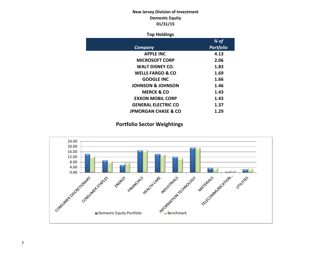# **New Jersey Division of Investment Domestic Equity 01/31/15**

## **Top Holdings**

|                                | % of             |
|--------------------------------|------------------|
| Company                        | <b>Portfolio</b> |
| <b>APPLE INC</b>               | 4.13             |
| <b>MICROSOFT CORP</b>          | 2.06             |
| <b>WALT DISNEY CO.</b>         | 1.83             |
| <b>WELLS FARGO &amp; CO</b>    | 1.69             |
| <b>GOOGLE INC</b>              | 1.66             |
| <b>JOHNSON &amp; JOHNSON</b>   | 1.46             |
| <b>MERCK &amp; CO</b>          | 1.43             |
| <b>EXXON MOBIL CORP</b>        | 1.43             |
| <b>GENERAL ELECTRIC CO</b>     | 1.37             |
| <b>JPMORGAN CHASE &amp; CO</b> | 1.29             |

# **Portfolio Sector Weightings**

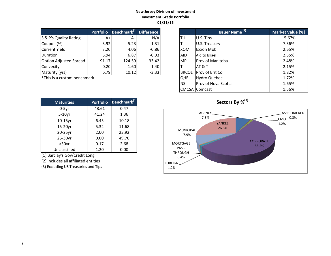## **New Jersey Division of Investment Investment Grade Portfolio 01/31/15**

|                               | <b>Portfolio</b> | <b>Benchmark</b> <sup>(1)</sup> Difference |          |            | Issuer Name <sup>(2)</sup> | <b>Market Valu</b> |
|-------------------------------|------------------|--------------------------------------------|----------|------------|----------------------------|--------------------|
| S & P's Quality Rating        | A+               | A+                                         | N/A      | <b>TII</b> | U.S. Tips                  | 15.67%             |
| Coupon (%)                    | 3.92             | 5.23                                       | $-1.31$  |            | U.S. Treasury              | 7.36%              |
| Current Yield                 | 3.20             | 4.06                                       | $-0.86$  | <b>XOM</b> | <b>Exxon Mobil</b>         | 2.65%              |
| <b>IDuration</b>              | 5.94             | 6.87                                       | $-0.93$  | <b>AID</b> | Aid to Israel              | 2.55%              |
| <b>Option Adjusted Spread</b> | 91.17            | 124.59                                     | $-33.42$ | <b>MP</b>  | Prov of Manitoba           | 2.48%              |
| Convexity                     | 0.20             | 1.60                                       | $-1.40$  |            | IAT & T                    | 2.15%              |
| Maturity (yrs)                | 6.79             | 10.12                                      | $-3.33$  |            | BRCOL Prov of Brit Col     | 1.82%              |

 $*$ This is a custom benchmark

| <b>Maturities</b> | <b>Portfolio</b> | Benchmark <sup>(1)</sup> |
|-------------------|------------------|--------------------------|
| $0-5$ yr          | 43.61            | 0.47                     |
| $5-10$ yr         | 41.24            | 1.36                     |
| 10-15yr           | 6.45             | 10.18                    |
| 15-20yr           | 5.32             | 11.68                    |
| 20-25yr           | 2.00             | 23.92                    |
| 25-30yr           | 0.00             | 49.70                    |
| $>30$ yr          | 0.17             | 2.68                     |
| Unclassified      | 1.20             | 0.00                     |

(1) Barclay's Gov/Credit Long

(2) Includes all affiliated entities

(3) Excluding US Treasuries and Tips

| <b>Portfolio</b> | Benchmark <sup>(1)</sup> Difference |          |              | <b>Issuer Name<sup>(2)</sup></b> | Market Value [%] |
|------------------|-------------------------------------|----------|--------------|----------------------------------|------------------|
| $A+$             | A+                                  | N/A      | TII          | U.S. Tips                        | 15.67%           |
| 3.92             | 5.23                                | $-1.31$  |              | U.S. Treasury                    | 7.36%            |
| 3.20             | 4.06                                | $-0.86$  | XOM          | Exxon Mobil                      | 2.65%            |
| 5.94             | 6.87                                | $-0.93$  | <b>AID</b>   | Aid to Israel                    | 2.55%            |
| 91.17            | 124.59                              | $-33.42$ | <b>MP</b>    | <b>IProv of Manitoba</b>         | 2.48%            |
| 0.20             | 1.60                                | $-1.40$  |              | AT & T                           | 2.15%            |
| 6.79             | 10.12                               | $-3.33$  | <b>BRCOL</b> | <b>Prov of Brit Col</b>          | 1.82%            |
| ۰k               |                                     |          | <b>OHEL</b>  | Hydro Quebec                     | 1.72%            |
|                  |                                     |          | <b>NS</b>    | Prov of Nova Scotia              | 1.65%            |
|                  |                                     |          |              | <b>CMCSA</b> Comcast             | 1.56%            |



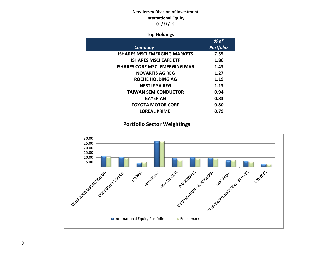# **New Jersey Division of Investment International Equity 01/31/15**

## **Top Holdings**

| % of             |
|------------------|
| <b>Portfolio</b> |
| 7.55             |
| 1.86             |
| 1.43             |
| 1.27             |
| 1.19             |
| 1.13             |
| 0.94             |
| 0.83             |
| 0.80             |
| 0.79             |
|                  |

# **Portfolio Sector Weightings**

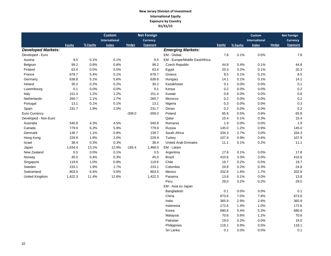## **New Jersey Division of Investment International Equity Exposure by Country 01/31/15**

|                           |               |          | <b>Custom</b> |              | <b>Net Foreign</b> |                                |               |          | <b>Custom</b>        |       | <b>Net Foreign</b> |
|---------------------------|---------------|----------|---------------|--------------|--------------------|--------------------------------|---------------|----------|----------------------|-------|--------------------|
|                           |               |          | International |              | <b>Currency</b>    |                                |               |          | <b>International</b> |       | Currency           |
|                           | <b>Equity</b> | % Equity | <b>Index</b>  | <b>Hedge</b> | <b>Exposure</b>    |                                | <b>Equity</b> | % Equity | <b>Index</b>         | Hedge | <b>Exposure</b>    |
| <b>Developed Markets:</b> |               |          |               |              |                    | <b>Emerging Markets:</b>       |               |          |                      |       |                    |
| Developed - Euro          |               |          |               |              |                    | EM - Global                    | 7.8           | 0.1%     | 0.0%                 |       | 7.8                |
| Austria                   | 9.5           | 0.1%     | 0.1%          |              | 9.5                | EM - Europe/Middle East/Africa |               |          |                      |       |                    |
| Belgium                   | 99.2          | 0.8%     | 0.8%          |              | 99.2               | Czech Republic                 | 44.8          | 0.4%     | 0.1%                 |       | 44.8               |
| Finland                   | 63.4          | 0.5%     | 0.5%          |              | 63.4               | Egypt                          | 20.3          | 0.2%     | 0.1%                 |       | 20.3               |
| France                    | 678.7         | 5.4%     | 5.1%          |              | 678.7              | Greece                         | 8.5           | 0.1%     | 0.1%                 |       | 8.5                |
| Germany                   | 638.8         | 5.1%     | 5.6%          |              | 638.8              | Hungary                        | 14.1          | 0.1%     | 0.1%                 |       | 14.1               |
| Ireland                   | 30.2          | 0.2%     | 0.2%          |              | 30.2               | Kazakhstan                     | 0.1           | 0.0%     | 0.0%                 |       | 0.1                |
| Luxembourg                | 0.1           | 0.0%     | 0.0%          |              | 0.1                | Kenya                          | 0.2           | 0.0%     | 0.0%                 |       | 0.2                |
| Italy                     | 151.4         | 1.2%     | 1.2%          |              | 151.4              | Kuwait                         | 0.8           | 0.0%     | 0.0%                 |       | 0.8                |
| <b>Netherlands</b>        | 260.7         | 2.1%     | 1.7%          |              | 260.7              | Morocco                        | 0.2           | 0.0%     | 0.0%                 |       | 0.2                |
| Portugal                  | 13.1          | 0.1%     | 0.1%          |              | 13.1               | Nigeria                        | 0.3           | 0.0%     | 0.0%                 |       | 0.3                |
| Spain                     | 231.7         | 1.9%     | 2.0%          |              | 231.7              | Oman                           | 0.2           | 0.0%     | 0.0%                 |       | 0.2                |
| Euro Currency             |               |          |               | $-309.0$     | $-309.0$           | Poland                         | 65.8          | 0.5%     | 0.6%                 |       | 65.8               |
| Developed - Non-Euro      |               |          |               |              |                    | Qatar                          | 15.4          | 0.1%     | 0.3%                 |       | 15.4               |
| Australia                 | 540.8         | 4.3%     | 4.5%          |              | 540.8              | Romania                        | 1.9           | 0.0%     | 0.0%                 |       | 1.9                |
| Canada                    | 779.9         | 6.2%     | 5.9%          |              | 779.9              | Russia                         | 145.0         | 1.2%     | 0.9%                 |       | 145.0              |
| Denmark                   | 139.7         | 1.1%     | 0.9%          |              | 139.7              | South Africa                   | 334.3         | 2.7%     | 3.0%                 |       | 334.3              |
| Hong Kong                 | 229.9         | 1.8%     | 2.0%          |              | 229.9              | Turkey                         | 107.9         | 0.9%     | 0.6%                 |       | 107.9              |
| Israel                    | 38.4          | 0.3%     | 0.3%          |              | 38.4               | <b>United Arab Emirates</b>    | 11.1          | 0.1%     | 0.2%                 |       | 11.1               |
| Japan                     | 1,634.4       | 13.1%    | 12.9%         | $-165.4$     | 1,469.0            | EM - Latam                     |               |          |                      |       |                    |
| New Zealand               | 0.5           | 0.0%     | 0.1%          |              | 0.5                | Argentina                      | 17.8          | 0.1%     | 0.0%                 |       | 17.8               |
| Norway                    | 45.0          | 0.4%     | 0.3%          |              | 45.0               | Brazil                         | 410.6         | 3.3%     | 3.0%                 |       | 410.6              |
| Singapore                 | 119.6         | 1.0%     | 0.9%          |              | 119.6              | Chile                          | 19.7          | 0.2%     | 0.5%                 |       | 19.7               |
| Sweden                    | 233.1         | 1.9%     | 1.7%          |              | 233.1              | Colombia                       | 24.8          | 0.2%     | 0.3%                 |       | 24.8               |
| Switzerland               | 803.5         | 6.4%     | 5.6%          |              | 803.5              | Mexico                         | 202.8         | 1.6%     | 1.7%                 |       | 202.8              |
| United Kingdom            | 1,422.3       | 11.4%    | 12.6%         |              | 1,422.3            | Panama                         | 13.8          | 0.1%     | 0.0%                 |       | 13.8               |
|                           |               |          |               |              |                    | Peru                           | 29.0          | 0.2%     | 0.2%                 |       | 29.0               |
|                           |               |          |               |              |                    | EM - Asia ex Japan             |               |          |                      |       |                    |
|                           |               |          |               |              |                    | Bangladesh                     | 0.1           | 0.0%     | 0.0%                 |       | 0.1                |
|                           |               |          |               |              |                    | China                          | 873.6         | 7.0%     | 7.6%                 |       | 873.6              |
|                           |               |          |               |              |                    | India                          | 365.9         | 2.9%     | 2.6%                 |       | 365.9              |
|                           |               |          |               |              |                    | Indonesia                      | 172.6         | 1.4%     | 1.0%                 |       | 172.6              |

Korea 680.6 5.4% 5.3% 680.6 5.4% 680.6 Malaysia 70.6 0.6% 1.2% 70.6 Pakistan 19.0 0.2% 0.0% 19.0 Philippines 118.1 0.9% 0.5% 118.1 Sri Lanka **0.1** 0.0% 0.0% 0.1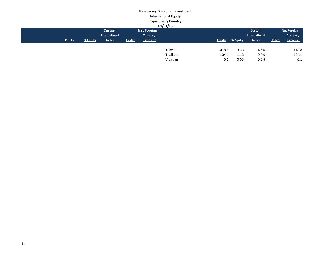# **New Jersey Division of Investment International Equity Exposure by Country**

|               |          |               |              |                    | 01/31/15 |               |          |               |              |                    |
|---------------|----------|---------------|--------------|--------------------|----------|---------------|----------|---------------|--------------|--------------------|
|               |          | <b>Custom</b> |              | <b>Net Foreign</b> |          |               |          | Custom        |              | <b>Net Foreign</b> |
|               |          | International |              | <b>Currency</b>    |          |               |          | International |              | <b>Currency</b>    |
| <b>Equity</b> | % Equity | <b>Index</b>  | <b>Hedge</b> | <b>Exposure</b>    |          | <b>Equity</b> | % Equity | <b>Index</b>  | <b>Hedge</b> | <b>Exposure</b>    |
|               |          |               |              |                    |          |               |          |               |              |                    |
|               |          |               |              |                    | Taiwan   | 418.8         | 3.3%     | 4.6%          |              | 418.8              |
|               |          |               |              |                    | Thailand | 134.1         | 1.1%     | 0.8%          |              | 134.1              |
|               |          |               |              |                    | Vietnam  | 0.1           | 0.0%     | 0.0%          |              | 0.1                |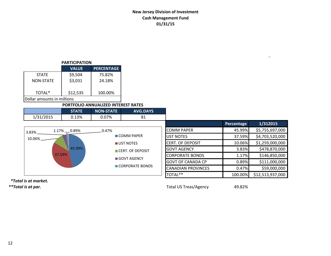# **New Jersey Division of Investment Cash Management Fund 01/31/15**

## **PARTICIPATION**

|                             | <b>VALUE</b> | <b>PERCENTAGE</b> |  |  |  |  |
|-----------------------------|--------------|-------------------|--|--|--|--|
| <b>STATE</b>                | \$9,504      | 75.82%            |  |  |  |  |
| <b>NON-STATE</b>            | \$3,031      | 24.18%            |  |  |  |  |
|                             |              |                   |  |  |  |  |
| TOTAL*                      | \$12,535     | 100.00%           |  |  |  |  |
| lDollar amounts in millions |              |                   |  |  |  |  |

## **PORTFOLIO ANNUALIZED INTEREST RATES**

|           |     | <b>NON-STATE</b> | <b>AVG.DAYS</b> |
|-----------|-----|------------------|-----------------|
| 1/31/2015 | 13% | $.07\%$          | О 1             |

|        |                                 |                           |                           | Percentage | 1/312015         |
|--------|---------------------------------|---------------------------|---------------------------|------------|------------------|
| 3.83%  | $1.17\%$ <sub>7</sub> $-0.89\%$ | 0.47%                     | <b>COMM PAPER</b>         | 45.99%     | \$5,755,697,000  |
| 10.06% |                                 | $\blacksquare$ COMM PAPER | UST NOTES                 | 37.59%     | \$4,703,520,000  |
|        | 45.99%<br>37.59%                | UST NOTES                 | <b>CERT. OF DEPOSIT</b>   | 10.06%     | \$1,259,000,000  |
|        |                                 | CERT. OF DEPOSIT          | <b>GOVT AGENCY</b>        | 3.83%      | \$478,870,000    |
|        |                                 | ■ GOVT AGENCY             | <b>CORPORATE BONDS</b>    | 1.17%      | \$146,850,000    |
|        |                                 |                           | <b>GOVT OF CANADA CP</b>  | 0.89%      | \$111,000,000    |
|        |                                 | CORPORATE BONDS           | <b>CANADIAN PROVINCES</b> | 0.47%      | \$59,000,000     |
|        |                                 |                           | TOTAL**                   | 100.00%    | \$12,513,937,000 |

 *\*Total is at market.*

*\*\*Total is at par.* Total US Treas/Agency 49.82%

 $\Box$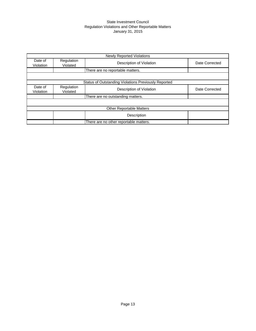#### State Investment Council Regulation Violations and Other Reportable Matters January 31, 2015

|                      |                        | <b>Newly Reported Violations</b>                     |                |
|----------------------|------------------------|------------------------------------------------------|----------------|
| Date of<br>Violation | Regulation<br>Violated | Description of Violation                             | Date Corrected |
|                      |                        | There are no reportable matters.                     |                |
|                      |                        |                                                      |                |
|                      |                        | Status of Outstanding Violations Previously Reported |                |
| Date of<br>Violation | Regulation<br>Violated | Description of Violation                             | Date Corrected |
|                      |                        | There are no outstanding matters.                    |                |
|                      |                        |                                                      |                |
|                      |                        | <b>Other Reportable Matters</b>                      |                |
|                      |                        | Description                                          |                |
|                      |                        | There are no other reportable matters.               |                |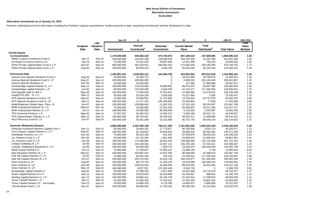#### **Alternative Investments as of January 31, 2015**

Presents underlying fund level information including the Portfolio's original commitments, funded amounts to date, remaining commitments and the distributions to date.

|                                             |               |                   | <b>Jan-15</b> | A                        |                 | в                     | C                        | $=(B+C)$           | $=(B+C)/A$      |
|---------------------------------------------|---------------|-------------------|---------------|--------------------------|-----------------|-----------------------|--------------------------|--------------------|-----------------|
|                                             | Inception     | Last<br>Valuation |               | <b>Amount</b>            | <b>Unfunded</b> | <b>Current Market</b> | <b>Total</b>             |                    | Total<br>Value  |
|                                             | Date          | Date              | Commitment    | Contributed <sup>1</sup> | Commitment      | Value                 | Distributed <sup>2</sup> | <b>Total Value</b> | <b>Multiple</b> |
| <b>Private Equity</b>                       |               |                   |               |                          |                 |                       |                          |                    |                 |
| <b>Co-Investments</b>                       |               |                   | 1,175,000,000 | 608,492,318              | 574,740,074     | 807,186,518           | 197,509,806              | 1,004,696,324      | 1.65            |
| NB/NJ Custom Investment Fund II             | Apr-12        | Sep-14            | 200,000,000   | 104,497,189              | 120,839,539     | 169,764,428           | 31,297,030               | 201,061,458        | 1.92            |
| NJ Roark Co-Invest Fund III LLC             | Jan-14        | Sep-14            | 75,000,000    | 15,102,418               | 59,897,582      | 14,251,608            | 794,224                  | 15,045,832         | 1.00            |
| SONJ Private Opportunities Fund II, L.P.    | <b>Nov-07</b> | Sep-14            | 800,000,000   | 392,233,501              | 390,662,163     | 572,964,436           | 100,185,356              | 673,149,792        | 1.72            |
| SONJ Private Opportunities Fund, L.P.       | Sep-06        | Sep-14            | 100,000,000   | 96,659,210               | 3,340,790       | 50,206,046            | 65,233,196               | 115,439,242        | 1.19            |
| <b>Distressed Debt</b>                      |               |                   | 1,336,861,543 | 1,046,002,141            | 432,848,785     | 563,952,363           | 853,013,818              | 1,416,966,181      | 1.35            |
| Avenue Asia Special Situations Fund IV      | Aug-06        | Sep-14            | 30,000,000    | 26,283,722               | $\mathbf 0$     | 10,614,938            | 20,793,975               | 31,408,913         | 1.19            |
| Avenue Special Situations Fund V, LP        | May-07        | Sep-14            | 200,000,000   | 200,000,000              | $\mathbf 0$     | 2,638,262             | 263,184,545              | 265,822,807        | 1.33            |
| Avenue Special Situations IV                | Nov-05        | Sep-14            | 20,000,000    | 20,000,000               | $\Omega$        | 127,985               | 27,969,988               | 28,097,973         | 1.40            |
| Centerbridge Capital Partners II, L.P.      | May-11        | Sep-14            | 100,000,000   | 118,618,085              | 19,809,991      | 89,473,072            | 40,087,580               | 129,560,652        | 1.09            |
| Centerbridge Capital Partners, L.P.         | Jun-06        | Sep-14            | 80,000,000    | 124,629,280              | 5,816,833       | 47,242,577            | 171,394,054              | 218,636,631        | 1.75            |
| HIG Bayside Debt & LBO II                   | May-08        | Sep-14            | 100,000,000   | 72,365,549               | 27,634,451      | 47,859,666            | 52,378,622               | 100,238,288        | 1.39            |
| Knight/TPG NPL - R, L.P.                    | Mar-12        | Sep-14            | 59,054,236    | 55,554,236               | 3,500,000       | 76,327,965            | 2,506                    | 76,330,471         | 1.37            |
| KPS Special Situations Fund III, LP         | May-07        | Sep-14            | 25,000,000    | 24,406,002               | 11,754,805      | 13,754,943            | 26,737,579               | 40,492,522         | 1.66            |
| KPS Special Situations Fund IV, LP          | Apr-13        | Sep-14            | 200,000,000   | 17,377,195               | 182,699,805     | 16,948,966            | 77,000                   | 17,025,966         | 0.98            |
| MatlinPatterson Global Opps. Ptnrs. III     | Jun-07        | Sep-14            | 100,000,000   | 100,886,693              | 11,062,334      | 67,353,183            | 56,534,597               | 123,887,780        | 1.23            |
| MHR Institutional Partners III. L.P.        | May-07        | Dec-14            | 75,000,000    | 78,000,000               | 27,653,979      | 55,089,887            | 63,017,430               | 118,107,317        | 1.51            |
| MHR Institutional Partners IV, L.P.         | $Jul-14$      | Dec-14            | 100,000,000   | 10,500,000               | 89,500,000      | 9,118,629             | 1,542,987                | 10,661,616         | 1.02            |
| TPG Financial Partners, L.P.                | May-08        | Sep-14            | 47,807,307    | 35,285,615               | 13,049,474      | 6,658,196             | 28,291,711               | 34,949,907         | 0.99            |
| TPG Opportunities Partners II, L.P.         | Mar-12        | Sep-14            | 100,000,000   | 69,794,467               | 30,205,533      | 84,002,317            | 11,608,099               | 95,610,416         | 1.37            |
| WLR Recovery Fund IV, LP                    | Oct-07        | Sep-14            | 100,000,000   | 92,301,296               | 10,161,580      | 36,741,778            | 89,393,144               | 126,134,922        | 1.37            |
| <b>Domestic Midmarket Buyout</b>            |               |                   | 2,886,490,000 | 2,387,596,748            | 768,417,350     | 1,761,952,926         | 1,584,242,108            | 3,346,195,034      | 1.40            |
| American Industrial Partners Capital Fund V | Dec-11        | Sep-14            | 50,000,000    | 35,604,291               | 17,773,877      | 36,785,959            | 3,534,713                | 40,320,671         | 1.13            |
| Court Square Capital Partners II, L.P.      | May-07        | Sep-14            | 100,000,000   | 91,118,810               | 10,435,063      | 59,008,932            | 80,462,361               | 139,471,293        | 1.53            |
| InterMedia Partners VII, L.P.               | Dec-05        | Sep-14            | 75,000,000    | 96,252,158               | 621,562         | 87,559,978            | 58,636,224               | 146,196,203        | 1.52            |
| JLL Partners Fund V, L.P.                   | Dec-05        | Sep-14            | 50,000,000    | 52,722,284               | 1,601,994       | 22,959,810            | 61,908,181               | 84,867,991         | 1.61            |
| JLL Partners Fund VI, LP                    | <b>Jun-08</b> | Sep-14            | 150,000,000   | 172,496,884              | 29,451,559      | 149,589,584           | 102,132,608              | 251,722,192        | 1.46            |
| Lindsay Goldberg III, L.P.                  | <b>Jul-08</b> | Sep-14            | 200,000,000   | 181,248,303              | 21,647,121      | 156,785,156           | 67,523,411               | 224,308,567        | 1.24            |
| Lindsay, Goldberg & Bessemer II, L.P.       | $Jul-06$      | Sep-14            | 100,000,000   | 92,390,286               | 7,609,714       | 24,003,079            | 109,292,659              | 133,295,738        | 1.44            |
| Marlin Equity Partners IV                   | $Jun-13$      | Sep-14            | 75,000,000    | 17,109,627               | 57,893,167      | 15,988,149            | 2,794                    | 15,990,943         | 0.93            |
| New Mountain Partners III, L.P.             | May-07        | Sep-14            | 100,000,000   | 104,867,342              | 12,037,939      | 90,498,936            | 42,488,813               | 132,987,749        | 1.27            |
| Oak Hill Capital Partners II, L.P.          | $Jul-05$      | Sep-14            | 75,000,000    | 83,225,164               | 476,763         | 15,700,421            | 117,445,525              | 133,145,947        | 1.60            |
| Oak Hill Capital Partners III, L.P.         | Oct-07        | Sep-14            | 250,000,000   | 293,722,034              | 25,515,783      | 182,219,677           | 211,345,682              | 393,565,359        | 1.34            |
| Onex Partners II, LP                        | Aug-06        | Sep-14            | 100,000,000   | 88,774,730               | 11,225,270      | 16,579,638            | 162,065,423              | 178,645,061        | 2.01            |
| Onex Partners III, LP                       | Dec-08        | Sep-14            | 100,000,000   | 108,070,054              | 10,809,665      | 89,876,093            | 45,451,045               | 135,327,138        | 1.25            |
| Onex Partners IV, LP                        | May-14        | Sep-14            | 166,490,000   | 9,027,551                | 157,462,449     | 8,284,728             | $\Omega$                 | 8,284,728          | 0.92            |
| Quadrangle Capital Partners II              | Aug-05        | Sep-14            | 50,000,000    | 47,306,280               | 6,917,806       | 15,022,938            | 49,721,979               | 64,744,917         | 1.37            |
| Roark Capital Partners III L.P.             | Sep-12        | Sep-14            | 100,000,000   | 45,878,933               | 55,019,888      | 50,283,907            | 898,821                  | 51,182,728         | 1.12            |
| Sterling Capital Partners IV, L.P.          | Apr-12        | Sep-14            | 100,000,000   | 43,680,411               | 62,316,278      | 31,432,913            | 17,530,615               | 48,963,528         | 1.12            |
| Tenex Capital Partners, L.P.                | Jan-11        | Sep-14            | 50,000,000    | 47,926,335               | 17,446,441      | 37,042,369            | 15,861,524               | 52,903,893         | 1.10            |
| Tenex Capital Partners LP - Secondary       | Feb-13        | Sep-14            | 20,000,000    | 16,866,478               | 8,714,305       | 14,855,973            | 4,895,949                | 19,751,922         | 1.17            |
| The Resolute Fund II, L.P.                  | Dec-07        | Sep-14            | 100,000,000   | 95,846,943               | 11,749,332      | 90,286,326            | 42,213,928               | 132,500,254        | 1.38            |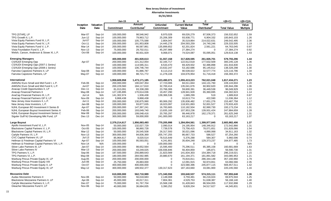|                                                |               |           | Jan-15            | A                        |                 | в                     | С                        | $=(B+C)$           | $=(B+C)/A$ |
|------------------------------------------------|---------------|-----------|-------------------|--------------------------|-----------------|-----------------------|--------------------------|--------------------|------------|
|                                                | Inception     | Valuation |                   | <b>Amount</b>            | <b>Unfunded</b> | <b>Current Market</b> | Total                    |                    | Value      |
|                                                | Date          | Date      | <b>Commitment</b> | Contributed <sup>1</sup> | Commitment      | Value                 | Distributed <sup>2</sup> | <b>Total Value</b> | Multiple   |
| TPG [STAR], LP                                 | Mar-07        | Sep-14    | 100,000,000       | 98,546,942               | 8,970,028       | 69,026,279            | 87,506,373               | 156,532,652        | 1.59       |
| TPG Growth II, L.P.                            | Jun-12        | Sep-14    | 100,000,000       | 79,963,712               | 25,206,309      | 93,938,771            | 6,904,332                | 100,843,103        | 1.26       |
| Vista Equity Partners Fund III, L.P.           | <b>Jul-07</b> | Sep-14    | 100,000,000       | 105,775,588              | 2,804,047       | 35,519,864            | 214,022,631              | 249,542,495        | 2.36       |
| Vista Equity Partners Fund IV, L.P.            | Oct-11        | Sep-14    | 200,000,000       | 191,953,808              | 14,445,278      | 204,593,259           | 24,740,246               | 229,333,505        | 1.19       |
| Vista Equity Partners Fund V, L.P.             | Mar-14        | Sep-14    | 200,000,000       | 66,587,861               | 135,899,652     | 62,201,824            | 2,561,221                | 64,763,045         | 0.97       |
| Vista Foundation Fund II, L.P.                 | <b>Nov-13</b> | Sep-14    | 75,000,000        | 29,702,011               | 45,297,989      | 27,384,274            | $\mathbf 0$              | 27,384,274         | 0.92       |
| Welsh, Carson, Anderson & Stowe XI, L.P.       | Oct-08        | Sep-14    | 100,000,000       | 90,931,929               | 9,068,071       | 74,524,087            | 55,095,051               | 129,619,138        | 1.43       |
| <b>Emerging Managers</b>                       |               |           | 400,000,000       | 401,920,613              | 51,557,158      | 317,828,595           | 261,926,701              | 579,755,296        | 1.44       |
| <b>CS/NJDI Emerging Opp</b>                    | Apr-07        |           | 200,000,000       | 221,312,054              | 32,165,717      | 122,612,618           | 177,632,509              | 300,245,128        | 1.36       |
| CS/NJDI Emerging Opp (2007-1 Series)           |               | Sep-14    | 100,000,000       | 114,565,311              | 8,533,470       | 69,429,932            | 92,486,898               | 161,916,830        | 1.41       |
| CS/NJDI Emerging Opp (2008-1 Series)           |               | Sep-14    | 100,000,000       | 106,746,744              | 23,632,247      | 53,182,686            | 85,145,612               | 138,328,298        | 1.30       |
| Fairview Capstone Partners II, LP              | Sep-08        | Sep-14    | 100,000,000       | 91,886,787               | 8,113,213       | 90,539,022            | 32,577,774               | 123,116,796        | 1.34       |
| Fairview Capstone Partners, LP                 | May-07        | Sep-14    | 100,000,000       | 88,721,772               | 11,278,228      | 104,676,954           | 51,716,418               | 156,393,372        | 1.76       |
| International                                  |               |           | 1,959,609,958     | 1,473,171,185            | 623,490,071     | 1,055,413,223         | 762,021,048              | 1,817,434,271      | 1.23       |
| AIMS/NJ Euro Small and Mid Fund I, L.P.        | Feb-06        | Sep-14    | 200,000,000       | 190,047,354              | 17,723,006      | 84,011,844            | 144, 131, 760            | 228,143,604        | 1.20       |
| AIMS/NJ Euro Small and Mid Fund II, L.P.       | Jul-07        | Sep-14    | 200,229,560       | 184, 117, 610            | 32,700,414      | 135,041,676           | 60,902,620               | 195,944,296        | 1.06       |
| Anacap Credit Opportunities II, LP             | Dec-11        | Sep-14    | 81,013,091        | 93,338,289               | 23,766,306      | 59,600,391            | 36,449,538               | 96,049,929         | 1.03       |
| Anacap Financial Partners II                   | May-08        | Sep-14    | 127, 195, 895     | 170,614,036              | 19,457,290      | 128,941,928           | 65,360,695               | 194,302,623        | 1.14       |
| AnaCap Financial Partners III, L.P.            | $Jul-14$      | N/A       | 141,302,974       | 1,936,438                | 139,366,536     | 1,689,299             | 519                      | 1,689,818          | 0.87       |
| Anacap Financial Partners GP II, LP            | Nov-09        | Sep-14    | 9,868,438         | 9,868,438                | $\mathbf 0$     | 10,613,774            | 422,590                  | 11,036,364         | 1.12       |
| New Jersey Asia Investors II, L.P.             | $Jul-11$      | Sep-14    | 200,000,000       | 130,875,990              | 80,069,292      | 135,836,482           | 17,651,276               | 153,487,758        | 1.17       |
| New Jersey Asia Investors, L.P.                | Jan-08        | Sep-14    | 100,000,000       | 93,877,635               | 18,023,097      | 118,931,893           | 52,001,527               | 170,933,420        | 1.82       |
| NJHL European BO Investment II Series B        | Apr-07        | Sep-14    | 200,000,000       | 147,397,241              | 16,783,665      | 110,182,504           | 82,990,730               | 193,173,234        | 1.31       |
| NJHL European Buyout Investment Series A       | Feb-06        | Sep-14    | 200,000,000       | 193,049,740              | 13,835,169      | 107,953,236           | 139,931,424              | 247,884,659        | 1.28       |
| NJHL European Buyout Investment Series C       | Mar-08        | Sep-14    | 200,000,000       | 199,048,416              | 20,765,297      | 99,446,978            | 162,178,371              | 261,625,348        | 1.31       |
| Siguler Guff NJ Developing Mkt Fund, LP        | Dec-13        | Dec-14    | 300,000,000       | 59,000,000               | 241,000,000     | 63,163,217            | 0                        | 63,163,217         | 1.07       |
| <b>Large Buyout</b>                            |               |           | 2,379,214,617     | 1,956,083,493            | 770,205,998     | 1,284,004,561         | 1,399,977,845            | 2,683,982,406      | 1.37       |
| Apollo Investment Fund VI, L.P.                | Nov-05        | Sep-14    | 50,000,000        | 132,027,729              | 2,090,014       | 24,195,954            | 148,346,912              | 172,542,866        | 1.31       |
| Blackstone Capital Partners V, L.P.            | Oct-05        | Sep-14    | 100,000,000       | 98,860,728               | 7,739,578       | 73,756,415            | 78,071,651               | 151,828,066        | 1.54       |
| Blackstone Capital Partners VI, L.P.           | Mar-12        | Sep-14    | 50,000,000        | 26,545,508               | 26,317,593      | 30,021,096            | 4,890,068                | 34,911,163         | 1.32       |
| Carlyle Partners VI, L.P.                      | <b>Nov-13</b> | Sep-14    | 300,000,000       | 94,836,369               | 205,747,255     | 86,667,733            | 586,527                  | 87,254,260         | 0.92       |
| CVC Capital Partners VI, LP                    | $Jul-13$      | Sep-14    | 85,964,617        | 8,020,514                | 78,515,649      | 5,376,288             | 584,307                  | 5,960,596          | 0.74       |
| Hellman & Friedman Capital Partners VI         | Apr-07        | Sep-14    | 100,000,000       | 95,593,051               | 4,241,801       | 35,604,248            | 129,373,237              | 164,977,485        | 1.73       |
| Hellman & Friedman Capital Partners VIII, L.P. | <b>Nov-14</b> | N/A       | 100,000,000       | $\Omega$                 | 100,000,000     | $\mathbf 0$           | $\mathbf 0$              | $\Omega$           | N/A        |
| Silver Lake Partners III, LP                   | Jan-07        | Sep-14    | 100,000,000       | 98,652,564               | 15,595,400      | 75,296,511            | 85,385,158               | 160,681,669        | 1.63       |
| Silver Lake Partners IV                        | Mar-13        | Sep-14    | 200,000,000       | 43,249,025               | 156,936,846     | 56,404,859            | 185,871                  | 56,590,730         | 1.31       |
| TPG Partners V, L.P.                           | Sep-06        | Sep-14    | 187,500,000       | 256,889,643              | 21,823,569      | 141,834,303           | 154,384,718              | 296,219,021        | 1.15       |
| TPG Partners VI, L.P.                          | May-08        | Sep-14    | 180,000,000       | 284,592,985              | 20,880,670      | 161,194,371           | 181,891,582              | 343,085,953        | 1.21       |
| Warburg Pincus Private Equity IX, LP           | Aug-05        | Sep-14    | 200,000,000       | 200,000,000              | 0               | 70,816,811            | 286,344,148              | 357,160,960        | 1.79       |
| Warburg Pincus Private Equity VIII             | Jun-06        | Sep-14    | 25,750,000        | 26,883,000               | $\pmb{0}$       | 12,091,915            | 50,974,651               | 63,066,566         | 2.35       |
| Warburg Pincus Private Equity X, LP            | Oct-07        | Sep-14    | 400,000,000       | 400,000,000              | $\Omega$        | 323,580,396           | 245,877,115              | 569,457,511        | 1.42       |
| Warburg Pincus Private Equity XI, LP           | May-12        | Sep-14    | 300,000,000       | 189,932,377              | 130,317,623     | 187,163,660           | 33,081,900               | 220,245,560        | 1.16       |
| <b>Mezzanine Debt</b>                          |               |           | 610,000,000       | 562,710,989              | 171,340,556     | 193,640,537           | 574,315,111              | 767,955,648        | 1.36       |
| Audax Mezzanine Partners II                    | Nov-06        | Sep-14    | 50,000,000        | 56,018,683               | 2,148,008       | 3,759,481             | 66,216,024               | 69,975,504         | 1.25       |
| Blackstone Mezzanine Partners II, LP           | Apr-06        | Sep-14    | 45,000,000        | 40,017,311               | 7,804,361       | 4,529,753             | 51,638,387               | 56,168,140         | 1.40       |
| Carlyle Mezzanine Partners II, L.P.            | Dec-07        | Sep-14    | 75,000,000        | 91,767,704               | 15,568,198      | 31,428,843            | 86,504,055               | 117,932,898        | 1.29       |
| Gleacher Mezzanine Fund II, LP                 | Nov-06        | Sep-14    | 40,000,000        | 36,684,835               | 3,390,252       | 9,828,204             | 34,517,627               | 44,345,831         | 1.21       |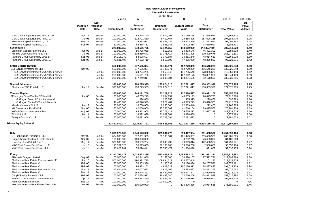|                                                                       |                    |                           | Jan-15                       | A                                         |                               | в                              | C                                        | $=(B+C)$                 | $=(B+C)/A$                 |
|-----------------------------------------------------------------------|--------------------|---------------------------|------------------------------|-------------------------------------------|-------------------------------|--------------------------------|------------------------------------------|--------------------------|----------------------------|
|                                                                       | Inception<br>Date  | Last<br>Valuation<br>Date | Commitment                   | <b>Amount</b><br>Contributed <sup>1</sup> | <b>Unfunded</b><br>Commitment | <b>Current Market</b><br>Value | <b>Total</b><br>Distributed <sup>2</sup> | <b>Total Value</b>       | Total<br>Value<br>Multiple |
|                                                                       |                    |                           |                              |                                           |                               |                                |                                          |                          |                            |
| GSO Capital Opportunities Fund II, LP                                 | <b>Nov-11</b>      | Sep-14                    | 150,000,000                  | 83,248,790                                | 97.977.096                    | 61,089,738                     | 51,578,974                               | 112,668,712              | 1.35                       |
| GSO Capital Opportunities Fund, L.P.                                  | Jul-08             | Sep-14                    | 100,000,000                  | 112,701,810                               | 6,407,457                     | 29,688,305                     | 167,696,165                              | 197,384,470              | 1.75                       |
| Newstone Capital Partners II, L.P.                                    | May-11             | Sep-14                    | 100,000,000                  | 79,883,093                                | 35,058,236                    | 49,613,399                     | 41,482,963                               | 91,096,362               | 1.14                       |
| Newstone Capital Partners, L.P.                                       | Feb-07             | Sep-14                    | 50,000,000                   | 62,388,763                                | 2,986,948                     | 3,702,814                      | 74,680,917                               | 78,383,731               | 1.26                       |
| <b>Secondaries</b>                                                    |                    |                           | 279,896,656                  | 273,666,735                               | 23,124,050                    | 140,110,909                    | 243,202,619                              | 383,313,528              | 1.40                       |
| Lexington Capital Partners VI-B                                       | Jun-06             | Sep-14                    | 50,000,000                   | 50,705,969                                | 817,356                       | 24,433,146                     | 46,421,392                               | 70,854,538               | 1.40                       |
| NB Sec Opps Offshore Fund II LP                                       | Jul-08             | Sep-14                    | 100,000,000                  | 102,419,541                               | 10,376,414                    | 53,571,425                     | 100,399,676                              | 153,971,101              | 1.50                       |
| Partners Group Secondary 2006 LP                                      | Sep-06             | Sep-14                    | 54,215,249                   | 53,008,507                                | 3,379,687                     | 14,851,249                     | 48,014,669                               | 62,865,918               | 1.19                       |
| Partners Group Secondary 2008, L.P.                                   | Sep-08             | Sep-14                    | 75,681,407                   | 67,532,719                                | 8,550,592                     | 47,255,089                     | 48,366,882                               | 95,621,971               | 1.42                       |
| <b>Small/Midsize Buyout</b>                                           |                    |                           | 650,000,000                  | 677,535,864                               | 88,732,971                    | 452,779,309                    | 486,546,238                              | 939,325,548              | 1.39                       |
| <b>CSFB/NJDI Investment Fund</b>                                      | Nov-05             |                           | 650,000,000                  | 677,535,864                               | 88,732,971                    | 452,779,309                    | 486,546,238                              | 939,325,548              | 1.39                       |
| CSFB/NJDI Investment Fund 2005-1 Series                               |                    | Sep-14                    | 200,000,000                  | 224,724,265                               | 9,650,948                     | 141,785,540                    | 178,065,573                              | 319,851,113              | 1.42                       |
| CSFB/NJDI Investment Fund 2006-1 Series                               |                    | Sep-14                    | 250,000,000                  | 275,561,782                               | 19,036,019                    | 167,642,173                    | 216,301,966                              | 383,944,139              | 1.39                       |
| CSFB/NJDI Investment Fund 2008-1 Series                               |                    | Sep-14                    | 200,000,000                  | 177,249,817                               | 60,046,004                    | 143,351,596                    | 92,178,699                               | 235,530,295              | 1.33                       |
| <b>Special Situations</b>                                             |                    |                           | 370,000,000                  | 298,275,935                               | 227,874,016                   | 217,721,817                    | 156,353,978                              | 374,075,795              | 1.25                       |
| Blackstone TOP Fund-A, L.P.                                           | Jan-12             | Sep-14                    | 370,000,000                  | 298,275,935                               | 227,874,016                   | 217,721,817                    | 156,353,978                              | 374,075,795              | 1.25                       |
| <b>Venture Capital</b>                                                |                    |                           | 365,000,000                  | 244,121,700                               | 163,327,628                   | 237,386,527                    | 119,071,108                              | 356,457,635              | 1.46                       |
| JP Morgan Direct/Pooled VC Instit III                                 | Jun-06             | Sep-14                    | 50,000,000                   | 48,765,249                                | 1,234,751                     | 46,865,193                     | 26,045,793                               | 72,910,986               | 1.50                       |
| JP Morgan Direct VC Institutional III                                 |                    | Sep-14                    | 600,000                      | 394,650                                   | 205,350                       | 465,915                        | 229,468                                  | 695,383                  | 1.76                       |
| JP Morgan Pooled VC Institutional III                                 |                    | Sep-14                    | 49,400,000                   | 48,370,599                                | 1,029,401                     | 46,399,279                     | 25,816,325                               | 72,215,603               | 1.49                       |
| Khosla Venutres IV, L.P.                                              | $Jan-12$           | Sep-14                    | 25,000,000                   | 18,750,000                                | 6,250,000                     | 22,989,840                     | 1,272,455                                | 24,262,295               | 1.29                       |
| NB Crossroads Fund XVIII                                              | Nov-06             | Sep-14                    | 50,000,000                   | 42,000,000                                | 25,750,002                    | 41,716,164                     | 29,075,562                               | 70,791,726               | 1.69                       |
| NB/NJ Custom Investment Fund                                          | Aug-07             | Sep-14                    | 100,000,000                  | 88,921,905                                | 35,777,421                    | 79,655,217                     | 62,677,298                               | 142,332,515              | 1.60                       |
| TCV VIII, L.P.                                                        | Jan-14             | Sep-14                    | 100,000,000                  | 18,992,639                                | 81,007,361                    | 18,978,489                     | $\mathbf 0$                              | 18,978,489               | 1.00                       |
| Tenaya Capital VI, L.P.                                               | $Jul-12$           | Sep-14                    | 40,000,000                   | 26,691,906                                | 13,308,094                    | 27,181,623                     | $\mathbf 0$                              | 27,181,623               | 1.02                       |
| <b>Private Equity Subtotal</b>                                        |                    |                           |                              |                                           |                               |                                |                                          |                          | 1.38                       |
|                                                                       |                    |                           | 12,412,072,774               | 9,929,577,722                             | 3,895,658,658                 | 7,031,977,285                  | 6,638,180,381                            | 13,670,157,666           |                            |
| <b>Debt</b>                                                           |                    |                           |                              | 1,048,520,652                             | 321,831,776                   | 590,427,964                    | 861,468,500                              | 1,451,896,464            | 1.38                       |
| CT High Grade Partners II, LLC                                        | May-08             | Sep-14                    | 1,369,979,606<br>664,000,000 | 572,861,303                               | 88,133,604                    | 421,445,337                    | 359,456,528                              | 780,901,865              | 1.36                       |
| Guggenheim Structured Real Estate III                                 | Sep-07             | Sep-14                    | 100,000,000                  |                                           | 0                             |                                |                                          | 81,106,068               |                            |
|                                                                       |                    |                           |                              | 100,000,000                               |                               | 4,702,746                      | 76,403,322                               |                          | 0.81                       |
| Lone Star Fund VII (U.S.) LP                                          | May-11<br>$Jul-13$ | Sep-14                    | 300,000,000                  | 283,589,254                               | 18,845,732                    | 79,399,014                     | 422,400,957                              | 501,799,971              | 1.77                       |
| M&G Real Estate Debt Fund II, LP<br>M&G Real Estate Debt Fund III, LP | $Jul-13$           | Sep-14<br>Sep-14          | 115,351,326<br>190,628,281   | 36,995,655<br>55,074,441                  | 79,106,968<br>135,745,472     | 33,516,768<br>51,364,098       | 2,536,636<br>671,057                     | 36,053,404<br>52,035,155 | 0.97<br>0.94               |
|                                                                       |                    |                           |                              |                                           |                               |                                |                                          |                          |                            |
| <b>Equity</b>                                                         |                    |                           | 4,312,766,472                | 3,034,953,239                             | 1,571,463,927                 | 2,465,693,151                  | 1,381,021,231                            | 3,846,714,382            | 1.27                       |
| ARA Asia Dragon Limited                                               | Sep-07             | Sep-14                    | 100,000,000                  | 92,842,000                                | 7,158,000                     | 30,320,157                     | 97,572,731                               | 127,892,888              | 1.38                       |
| Blackstone Real Estate Partners Asia LP                               | $Jun-13$           | Sep-14                    | 500,000,000                  | 190,981,715                               | 309,684,622                   | 210,677,648                    | 2,161,177                                | 212,838,825              | 1.11                       |
| <b>Blackstone Real Estate V</b>                                       | Feb-06             | Sep-14                    | 75,000,000                   | 78,353,336                                | 3,130,539                     | 58,170,894                     | 84,207,596                               | 142,378,491              | 1.82                       |
| <b>Blackstone Real Estate VI</b>                                      | Feb-07             | Sep-14                    | 100,000,000                  | 98,933,153                                | 4,921,729                     | 107,136,912                    | 84,477,427                               | 191,614,339              | 1.94                       |
| Blackstone Real Estate Partners VI, Sec                               | <b>Nov-11</b>      | Sep-14                    | 43,624,688                   | 40,007,622                                | 3,617,066                     | 36,583,687                     | 54,492,365                               | 91,076,052               | 2.28                       |
| <b>Blackstone Real Estate VII</b>                                     | Dec-11             | Sep-14                    | 300,000,000                  | 283,948,321                               | 68,492,461                    | 306,977,343                    | 93,999,575                               | 400,976,918              | 1.41                       |
| Carlyle Realty Partners V LP                                          | Feb-07             | Sep-14                    | 100,000,000                  | 122,634,933                               | 36,438,240                    | 32,716,206                     | 124,811,578                              | 157,527,784              | 1.28                       |
| Exeter - Core Industrial Venture Fund                                 | Apr-12             | Sep-14                    | 200,000,000                  | 169,463,250                               | 30,536,750                    | 171,770,915                    | 20,988,000                               | 192,758,915              | 1.14                       |
| Hammes Partners II, L.P.                                              | Mar-14             | N/A                       | 100,000,000                  | $\Omega$                                  | 100,000,000                   | 0                              | $\mathbf 0$                              | $\mathbf 0$              | N/A                        |
| Heitman America Real Estate Trust, L.P.                               | Jan-07             | Sep-14                    | 100,000,000                  | 100,000,000                               | $\mathbf 0$                   | 116,896,336                    | 28,984,565                               | 145,880,901              | 1.46                       |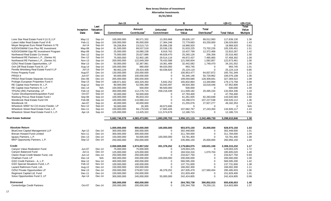|                                                                                     |                         |                   | Jan-15                   | Α                        |                 | в                        | С                        | $=(B+C)$                 | =(B+C)/A        |
|-------------------------------------------------------------------------------------|-------------------------|-------------------|--------------------------|--------------------------|-----------------|--------------------------|--------------------------|--------------------------|-----------------|
|                                                                                     | Inception               | Last<br>Valuation |                          | Amount                   | <b>Unfunded</b> | <b>Current Market</b>    | <b>Total</b>             |                          | Total<br>Value  |
|                                                                                     | Date                    | Date              | <b>Commitment</b>        | Contributed <sup>1</sup> | Commitment      | Value                    | Distributed <sup>2</sup> | <b>Total Value</b>       | <b>Multiple</b> |
| Lone Star Real Estate Fund II (U.S.) LP                                             | $May-11$                | Sep-14            | 100,000,000              | 86,571,332               | 13,353,668      | 28,626,137               | 89,012,993               | 117,639,130              | 1.36            |
| Lubert Adler Real Estate Fund VI-B                                                  | Feb-11                  | Sep-14            | 100,000,000              | 95,000,000               | 17,364,246      | 72,779,683               | 63,250,000               | 136,029,683              | 1.43            |
| Meyer Bergman Euro Retail Partners II-TE                                            | $Jul-14$                | Sep-14            | 59.206.954               | 23,510,715               | 35,696,238      | 18.968.920               | $\mathbf 0$              | 18.968.920               | 0.81            |
| NJDOI/GMAM Core Plus RE Investment                                                  |                         | Sep-14            | 81,500,000               |                          | 20,536,135      | 31,633,225               |                          | 105,335,451              |                 |
| NJDOI/GMAM Opp RE Investment Program                                                | May-08<br>May-08        |                   |                          | 69,537,518               | 8,919,762       |                          | 73,702,226               |                          | 1.51            |
| Northwood Real Estate Co-Invest                                                     |                         | Sep-14            | 25,000,000<br>75,000,000 | 16,080,238               | 49,628,470      | 10,437,799               | 12,372,468               | 22,810,267<br>25,516,482 | 1.42<br>1.00    |
|                                                                                     | $Dec-12$                | Sep-14            | 75,000,000               | 25,627,886<br>52,902,185 |                 | 25,260,126<br>49,972,437 | 256,356                  | 57,458,302               | 1.09            |
| Northwood RE Partners L.P., (Series III)<br>Northwood RE Partners L.P., (Series IV) | Dec-12<br><b>Nov-13</b> | Sep-14            |                          |                          | 29,514,116      |                          | 7,485,865                |                          |                 |
|                                                                                     |                         | Sep-14            | 200,000,000              | 122,649,269              | 78,433,588      | 121,590,604              | 1,082,857                | 122,673,461              | 1.00            |
| OZNJ Real Estate Opportunities, LP                                                  | Mar-13                  | Dec-14            | 50,000,000               | 32,387,981               | 19,361,489      | 32,442,082               | 1,749,470                | 34,191,552               | 1.06            |
| Och-Ziff Real Estate Fund III, LP                                                   | Aug-14                  | Sep-14            | 100,000,000              | 980,000                  | 99,020,000      | 993,745                  | $\mathbf 0$              | 993,745                  | 1.01            |
| Perella Weinberg Real Estate Fund II LP                                             | $Jul-13$                | Sep-14            | 89,463,229               | 29,424,408               | 60,038,820      | 25,124,119               | $\mathbf 0$              | 25,124,119               | 0.85            |
| <b>Prime Property Fund</b>                                                          | Aug-07                  | Dec-14            | 130,000,000              | 150,000,000              | $\Omega$        | 100,953,477              | 64,837,872               | 165,791,349              | 1.11            |
| PRISA II                                                                            | <b>Jun-07</b>           | Dec-14            | 60,000,000               | 100,000,000              | $\mathbf 0$     | 55,346,146               | 50,729,962               | 106,076,108              | 1.06            |
| PRISA Real Estate Separate Account                                                  | Dec-06                  | Dec-14            | 265,000,000              | 300,000,000              | $\mathbf 0$     | 199,059,680              | 128,309,841              | 327,369,522              | 1.09            |
| Prologis European Properties Fund II                                                | Sep-13                  | Sep-14            | 188,971,602              | 183,329,350              | 5,642,252       | 165,832,864              | 13,340,894               | 179,173,758              | 0.98            |
| RE Capital Asia Partners III, L.P.                                                  | Aug-12                  | Sep-14            | 80,000,000               | 52,566,389               | 33,043,497      | 49,934,360               | 18,018,446               | 67,952,806               | 1.29            |
| RE Capital Asia Partners IV, L.P.                                                   | Dec-14                  | N/A               | 100,000,000              | 500,000                  | 99,500,000      | 500,000                  | $\Omega$                 | 500,000                  | 1.00            |
| TPG/NJ (RE) Partnership, LP                                                         | Feb-13                  | Sep-14            | 350,000,000              | 112,276,715              | 258,218,439     | 111,509,182              | 20,495,154               | 132,004,336              | 1.18            |
| Tucker Development/Acquisition Fund                                                 | Oct-07                  | Sep-14            | 50,000,000               | 50,000,000               | $\mathbf 0$     | 47,793,400               | $\Omega$                 | 47,793,400               | 0.96            |
| Warburg Pincus Real Estate Fund I                                                   | Sep-06                  | Sep-14            | 100,000,000              | 95,833,333               | $\mathbf 0$     | 61,261,935               | 82,283,648               | 143,545,583              | 1.50            |
| Westbrook Real Estate Fund VIII                                                     | Feb-08                  | Sep-14            | 100,000,000              | 110,980,414              | 0               | 43,298,574               | 107,227,538              | 150,526,112              | 1.36            |
| Westbrook VII                                                                       | Jan-07                  | Sep-14            | 40.000.000               | 40,000,000               | $\Omega$        | 21,255,076               | 27,927,277               | 49.182.353               | 1.23            |
| Wheelock SREF NJ CO-Invest Feeder, LP                                               | <b>Nov-12</b>           | Sep-14            | 50,000,000               | 26,305                   | 49,973,695      | $\Omega$                 | $\mathbf 0$              | $\Omega$                 | N/A             |
| Wheelock Street Real Estate Fund, L.P.                                              | Dec-11                  | Sep-14            | 100,000,000              | 94,179,549               | 17,665,426      | 107,682,767              | 27,243,350               | 134,926,117              | 1.43            |
| Wheelock Street Real Estate Fund II, L.P.                                           | Apr-14                  | Sep-14            | 125,000,000              | 13,425,322               | 111,574,678     | 12,186,715               | $\Omega$                 | 12,186,715               | 0.91            |
| <b>Real Estate Subtotal</b>                                                         |                         |                   | 5,682,746,078            | 4,083,473,891            | 1,893,295,703   | 3,056,121,115            | 2,242,489,730            | 5,298,610,846            | 1.30            |
|                                                                                     |                         |                   |                          |                          |                 |                          |                          |                          |                 |
| <b>Absolute Return</b>                                                              |                         |                   | 1,000,000,000            | 900,000,000              | 100,000,000     | 903.970.150              | 25,000,000               | 928.970.150              | 1.03            |
| <b>BlueCrest Capital Management LLP</b>                                             | Apr-12                  | Dec-14            | 300,000,000              | 300,000,000              | $\mathbf 0$     | 302,448,600              | $\mathbf 0$              | 302,448,600              | 1.01            |
| Brevan Howard Fund Limited                                                          | <b>Nov-11</b>           | Dec-14            | 300,000,000              | 300,000,000              | $\Omega$        | 311,784,000              | 0                        | 311,784,000              | 1.04            |
| Iquazu Partners, L.P.                                                               | $Dec-13$                | Dec-14            | 150,000,000              | 50,000,000               | 100,000,000     | 53,781,400               | $\Omega$                 | 53,781,400               | 1.08            |
| MKP Opportunity Partners, L.P.                                                      | Sep-12                  | Dec-14            | 250,000,000              | 250,000,000              | $\mathbf 0$     | 235,956,150              | 25,000,000               | 260,956,150              | 1.04            |
| <b>Credit</b>                                                                       |                         |                   | 2.050.000.000            | 1,974,857,532            | 201,378,252     | 2.179.684.075            | 128,631,158              | 2.308.315.232            | 1.17            |
| Canyon Value Realization Fund                                                       | <b>Jun-07</b>           | Dec-14            | 75,000,000               | 75,000,000               | $\mathbf 0$     | 129,003,225              | $\Omega$                 | 129,003,225              | 1.72            |
| Canyon Balanced Fund                                                                | Jul-11                  | Dec-14            | 125,000,000              | 125,000,000              | $\mathbf 0$     | 184,534,316              | 1,070,704                | 185,605,020              | 1.48            |
| Claren Road Credit Master Fund, Ltd.                                                | $Jun-12$                | $Dec-14$          | 250.000.000              | 250.000.000              | $\Omega$        | 233.627.750              | $\Omega$                 | 233,627,750              | 0.93            |
| Chatham Fund, LP                                                                    | Dec-14                  | N/A               | 300,000,000              | 200,000,000              | 100,000,000     | 200,000,000              | 0                        | 200,000,000              | 1.00            |
| GSO Credit Partners - A, L.P.                                                       | Mar-12                  | Nov-14            | 400,000,000              | 400,000,000              | $\mathbf 0$     | 566,595,200              | $\boldsymbol{0}$         | 566,595,200              | 1.42            |
| GSO Special Situations Fund, L.P.                                                   | Feb-12                  | Nov-14            | 100,000,000              | 100,000,000              | 0               | 137,731,600              | $\Omega$                 | 137,731,600              | 1.38            |
| Lazard Rathmore Fund, Ltd.                                                          | Aug-12                  | Dec-14            | 150,000,000              | 150,000,000              | $\mathbf 0$     | 166,002,300              | 0                        | 166,002,300              | 1.11            |
| OZNJ Private Opportunities LP                                                       | Mar-13                  | Dec-14            | 200,000,000              | 279,857,532              | 46,378,252      | 167,935,479              | 127,560,454              | 295,495,933              | 1.06            |
| Regiment Capital Ltd. Fund                                                          | Dec-11                  | Dec-14            | 150,000,000              | 150,000,000              | $\Omega$        | 151,829,400              | $\Omega$                 | 151,829,400              | 1.01            |
| Solus Opportunities Fund 3, LP                                                      | Apr-14                  | Dec-14            | 300,000,000              | 245,000,000              | 55,000,000      | 242,424,805              | 0                        | 242,424,805              | 0.99            |
|                                                                                     |                         |                   |                          |                          |                 |                          |                          |                          |                 |
| <b>Distressed</b>                                                                   |                         |                   | 350,000,000              | 450,000,000              | 0               | 264,783,738              | 390,852,915              | 655,636,653              | 1.46            |
| Centerbridge Credit Partners                                                        | Oct-07                  | Dec-14            | 200,000,000              | 200,000,000              | $\mathbf 0$     | 235, 344, 758            | 79,259,131               | 314,603,889              | 1.57            |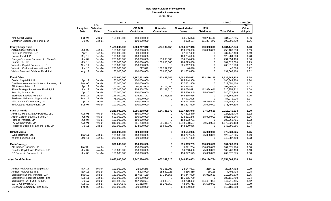|                                              |                   |                           | $Jan-15$      | A                                         |                                      | в                              | C                                        | $=(B+C)$           | $=(B+C)/A$                        |
|----------------------------------------------|-------------------|---------------------------|---------------|-------------------------------------------|--------------------------------------|--------------------------------|------------------------------------------|--------------------|-----------------------------------|
|                                              | Inception<br>Date | Last<br>Valuation<br>Date | Commitment    | <b>Amount</b><br>Contributed <sup>1</sup> | <b>Unfunded</b><br><b>Commitment</b> | <b>Current Market</b><br>Value | <b>Total</b><br>Distributed <sup>2</sup> | <b>Total Value</b> | Total<br>Value<br><b>Multiple</b> |
|                                              |                   |                           |               |                                           |                                      |                                |                                          |                    |                                   |
| King Street Capital                          | Feb-07            | Dec-14                    | 150,000,000   | 150,000,000                               | $\mathbf 0$                          | 24,535,873                     | 210,206,412                              | 234,742,285        | 1.56                              |
| Marathon Special Opp Fund, LTD               | <b>Jul-08</b>     | Dec-14                    | $\mathbf 0$   | 100,000,000                               | $\mathbf 0$                          | 4,903,107                      | 101,387,372                              | 106,290,479        | 1.06                              |
| <b>Equity Long/ Short</b>                    |                   |                           | 1,425,000,000 | 1,000,217,042                             | 424,782,958                          | 1,334,147,046                  | 100,000,000                              | 1,434,147,046      | 1.43                              |
| Archipelago Partners, LP                     | Jun-06            | Dec-14                    | 150,000,000   | 150,000,000                               | $\mathbf 0$                          | 153,109,650                    | 100,000,000                              | 253,109,650        | 1.69                              |
| Bay Pond Partners, L.P.                      | Apr-12            | $Dec-14$                  | 200,000,000   | 200,000,000                               | $\mathbf 0$                          | 237,147,400                    | 0                                        | 237, 147, 400      | 1.19                              |
| Cadian Fund, L.P.                            | May-12            | $Dec-14$                  | 100,000,000   | 100,000,000                               | $\mathbf 0$                          | 128,284,000                    | $\mathbf 0$                              | 128,284,000        | 1.28                              |
| Omega Overseas Partners Ltd. Class-B         | Jan-07            | $Dec-14$                  | 225,000,000   | 150,000,000                               | 75,000,000                           | 234,554,400                    | 0                                        | 234,554,400        | 1.56                              |
| Scopia PX, LLC                               | $Jan-13$          | Dec-14                    | 250,000,000   | 150,000,000                               | 100,000,000                          | 184,023,600                    | 0                                        | 184,023,600        | 1.23                              |
| ValueAct Capital Partners II, L.P.           | <b>Nov-11</b>     | Dec-14                    | 150,000,000   | 150,000,000                               | 0                                    | 265,317,900                    | $\mathbf 0$                              | 265,317,900        | 1.77                              |
| ValueAct Co-Invest International LP          | $Jun-13$          | Dec-14                    | 200,000,000   | 217,042                                   | 199,782,958                          | 46,696                         | 0                                        | 46,696             | 0.22                              |
| Visium Balanced Offshore Fund, Ltd           | Aug-12            | Dec-14                    | 150,000,000   | 100,000,000                               | 50,000,000                           | 131,663,400                    | 0                                        | 131,663,400        | 1.32                              |
| <b>Event Driven</b>                          |                   |                           | 1,400,000,000 | 1,187,552,956                             | 212,447,044                          | 1,402,524,022                  | 233,120,116                              | 1,635,644,138      | 1.38                              |
| Cevian Capital II, L.P.                      | Apr-12            | $Dec-14$                  | 150,000,000   | 150,000,000                               | $\mathbf 0$                          | 185,844,900                    | 0                                        | 185,844,900        | 1.24                              |
| Davidson Kempner Institutional Partners, L.P | Dec-06            | Dec-14                    | 150,000,000   | 150,000,000                               | $\mathbf 0$                          | 227,651,400                    | $\mathbf 0$                              | 227,651,400        | 1.52                              |
| Elliott Associates, L.P.                     | Apr-12            | Dec-14                    | 200,000,000   | 90,883,000                                | 109,117,000                          | 102,294,997                    | $\Omega$                                 | 102,294,997        | 1.13                              |
| JANA Strategic Investment Fund II, LP        | $Jun-13$          | Dec-14                    | 300,000,000   | 204,858,784                               | 95, 141, 216                         | 108,074,671                    | 112,884,641                              | 220,959,312        | 1.08                              |
| Pershing Square LP                           | Apr-10            | Dec-14                    | 200,000,000   | 200,000,000                               | $\mathbf 0$                          | 255,576,345                    | 85,000,000                               | 340,576,345        | 1.70                              |
| Starboard Leaders Fund LP                    | Mar-14            | Dec-14                    | 125,000,000   | 116,811,172                               | 8,188,828                            | 146,865,986                    | $\Omega$                                 | 146,865,986        | 1.26                              |
| Starboard Value and Opportunity LP           | Mar-14            | Dec-14                    | 75,000,000    | 75,000,000                                | $\mathbf 0$                          | 87,971,025                     | $\mathbf 0$                              | 87,971,025         | 1.17                              |
| Third Point Offshore Fund, LTD.              | Apr-11            | Dec-14                    | 100,000,000   | 100,000,000                               | $\mathbf 0$                          | 136,747,099                    | 10,235,474                               | 146,982,573        | 1.47                              |
| York Capital Management, LP                  | Feb-07            | Nov-14                    | 100,000,000   | 100,000,000                               | $\mathbf 0$                          | 151,497,600                    | 25,000,000                               | 176,497,600        | 1.76                              |
| <b>Fund of Funds</b>                         |                   |                           | 2,210,000,000 | 2,085,258,928                             | 124,741,072                          | 2,617,455,948                  | 97,590,586                               | 2,715,046,534      | 1.30                              |
| AIMS/NJ Multi-Strategy Portfolio, LLC        | Aug-06            | Nov-14                    | 550,000,000   | 550,000,000                               | $\mathbf 0$                          | 727,822,470                    | $\mathbf 0$                              | 727,822,470        | 1.32                              |
| Arden Garden State NJ Fund LP.               | Jun-06            | Nov-14                    | 500,000,000   | 500,000,000                               | $\mathbf 0$                          | 513,531,245                    | 68,000,000                               | 581,531,245        | 1.16                              |
| Protege Partners, LP                         | <b>Jun-07</b>     | Nov-14                    | 150,000,000   | 150,000,000                               | $\mathbf 0$                          | 183,063,701                    | $\mathbf 0$                              | 183,063,701        | 1.22                              |
| RC Woodley Park, LP                          | Aug-06            | Nov-14                    | 810,000,000   | 751,258,928                               | 58,741,072                           | 1,049,638,567                  | 29,590,586                               | 1,079,229,153      | 1.44                              |
| Reservoir Strategic Partners Fund, LP        | $Jul-11$          | $Dec-14$                  | 200,000,000   | 134,000,000                               | 66,000,000                           | 143,399,966                    | 0                                        | 143,399,966        | 1.07                              |
| <b>Global Macro</b>                          |                   |                           | 300,000,000   | 300,000,000                               | $\bf{0}$                             | 350,534,925                    | 25,000,000                               | 375,534,925        | 1.25                              |
| Lynx (Bermuda) Ltd.                          | Mar-11            | Dec-14                    | 100,000,000   | 100,000,000                               | $\mathbf 0$                          | 104,247,525                    | 25,000,000                               | 129,247,525        | 1.29                              |
| Winton Futures Fund                          | $Jan-11$          | $Dec-14$                  | 200,000,000   | 200,000,000                               | $\mathbf 0$                          | 246,287,400                    | 0                                        | 246,287,400        | 1.23                              |
| <b>Multi-Strategy</b>                        |                   |                           | 300,000,000   | 450,000,000                               | $\bf{0}$                             | 295,309,759                    | 306,000,000                              | 601,309,759        | 1.34                              |
| AG Garden Partners, LP                       | Mar-06            | Nov-14                    | $\Omega$      | 150,000,000                               | $\mathbf 0$                          | 5,871,784                      | 156,000,000                              | 161,871,784        | 1.08                              |
| Farallon Capital Inst. Partners, L.P.        | Jun-07            | Nov-14                    | 150,000,000   | 150,000,000                               | $\mathbf 0$                          | 94,760,400                     | 75,000,000                               | 169,760,400        | 1.13                              |
| OZ Domestic Partners II, Ltd.                | Jun-06            | Dec-14                    | 150,000,000   | 150,000,000                               | $\Omega$                             | 194,677,575                    | 75,000,000                               | 269,677,575        | 1.80                              |
| <b>Hedge Fund Subtotal</b>                   |                   |                           | 9,035,000,000 | 8,347,886,459                             | 1,063,349,326                        | 9,348,409,663                  | 1,306,194,774                            | 10,654,604,438     | 1.28                              |
|                                              |                   |                           |               |                                           |                                      |                                |                                          |                    |                                   |
| Aether Real Assets III Surplus, LP           | <b>Nov-13</b>     | Sep-14                    | 100,000,000   | 23,909,246                                | 76,301,206                           | 23,547,001                     | 210,452                                  | 23,757,453         | 0.99                              |
| Aether Real Assets III, LP                   | <b>Nov-13</b>     | Sep-14                    | 30,000,000    | 4,508,900                                 | 25,530,228                           | 4,366,310                      | 39,128                                   | 4,405,438          | 0.98                              |
| Blackstone Energy Partners, L.P.             | Mar-12            | Sep-14                    | 150,000,000   | 157,057,169                               | 17,124,656                           | 145,447,020                    | 66,952,659                               | 212,399,679        | 1.35                              |
| <b>Blackstone Resources Select Fund</b>      | Aug-11            | $Dec-14$                  | 250,000,000   | 250,000,000                               | 0                                    | 186,115,750                    | $\mathbf 0$                              | 186,115,750        | 0.74                              |
| Blackstone TOP Fund - A, L.P.                | <b>Jul-12</b>     | Sep-14                    | 389,985,858   | 487,043,694                               | 60,038,316                           | 383,228,402                    | 164,487,053                              | 547,715,455        | 1.12                              |
| BX NJ Co-Invest, L.P.                        | Aug-12            | Sep-14                    | 20,014,142    | 21,312,944                                | 15,271,150                           | 42,846,711                     | 16,569,952                               | 59,416,662         | 2.79                              |
| Gresham Commodity Fund (ETAP)                | Feb-08            | Dec-14                    | 200,000,000   | 200,000,000                               | $\Omega$                             | 118,189,800                    | $\Omega$                                 | 118,189,800        | 0.59                              |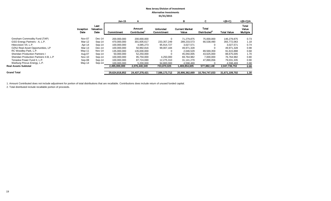|                                        |                   |                                  | Jan-15         |                       |                               | в                              | C                                 | $=(B+C)$           | $=(B+C)/A$                               |
|----------------------------------------|-------------------|----------------------------------|----------------|-----------------------|-------------------------------|--------------------------------|-----------------------------------|--------------------|------------------------------------------|
|                                        | Inception<br>Date | Last<br><b>Valuation</b><br>Date | Commitment     | Amount<br>Contributed | <b>Unfunded</b><br>Commitment | <b>Current Market</b><br>Value | Total<br>Distributed <sup>2</sup> | <b>Total Value</b> | <b>Total</b><br>Value<br><b>Multiple</b> |
| Gresham Commodity Fund (TAP)           | Nov-07            | Dec-14                           | 200,000,000    | 200,000,000           | 0                             | 71.279.875                     | 75,000,000                        | 146,279,875        | 0.73                                     |
| GSO Energy Partners - A, L.P.          | Mar-12            | Sep-14                           | 470,000,000    | 301,605,617           | 233, 357, 249                 | 289,233,573                    | 66,538,490                        | 355,772,063        | 1.18                                     |
| Hitecvision VII, L.P.                  | Apr-14            | $Sep-14$                         | 100,000,000    | 4.085.273             | 95,914,727                    | 3,027,571                      | 0                                 | 3.027.571          | 0.74                                     |
| OZNJ Real Asset Opportunities, LP      | Mar-13            | $Dec-14$                         | 100.000.000    | 50.992.816            | 99,007,184                    | 49,971,328                     |                                   | 49.971.328         | 0.98                                     |
| RC Woodley Park, L.P.                  | $May-11$          | Nov-14                           | 135,000,000    | 135,000,000           |                               | 2,046,529                      | 89,569,359                        | 91,615,888         | 0.68                                     |
| <b>Sheridan Production Partners I</b>  | Aug-07            | Sep-14                           | 50,000,000     | 52,250,000            |                               | 45,050,005                     | 43,625,000                        | 88,675,005         | 1.70                                     |
| Sheridan Production Partners II-B, L.P | Nov-10            | Sep-14                           | 100.000.000    | 95,750,000            | 4,250,000                     | 69,764,982                     | 7,000,000                         | 76,764,982         | 0.80                                     |
| Tenaska Power Fund II, L.P.            | Sep-08            | Sep-14                           | 100,000,000    | 87,724,690            | 12,275,310                    | 31,141,279                     | 47,890,056                        | 79,031,335         | 0.90                                     |
| Warburg Pincus Energy, L.P.            | May-14            | Sep-14                           | 100,000,000    | 5,200,000             | 94,800,000                    | 4,598,469                      |                                   | 4,598,469          | 0.88                                     |
| <b>Real Assets Subtotal</b>            |                   |                                  | 2,495,000,000  | 2,076,440,349         | 733,870,025                   | 1,469,854,605                  | 577,882,148                       | 2,047,736,753      | 0.99                                     |
|                                        |                   |                                  |                |                       |                               |                                |                                   |                    |                                          |
| <b>Grand Total</b>                     |                   |                                  | 29.624.818.852 | 24,437,378,421        | 7,586,173,712                 | 20.906.362.669                 | 10.764.747.033                    | 31,671,109,702     | 1.30                                     |

1. Amount Contributed does not include adjustment for portion of total distributions that are recallable. Contributions does include return of unused funded capital.

2. Total distributed include recallable portion of proceeds.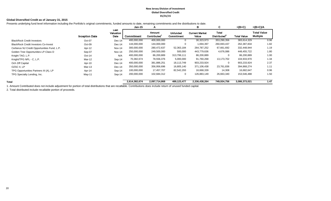#### **New Jersey Division of Investment Global Diversified Credit 01/31/15**

## **Global Diversified Credit as of January 31, 2015**

Presents underlying fund level information including the Portfolio's original commitments, funded amounts to date, remaining commitments and the distributions to date.

|                                             |                       |                           | $Jan-15$      | A                     |                               | в                              | C                                        | $=(B+C)$           | =(B+C)/A                              |
|---------------------------------------------|-----------------------|---------------------------|---------------|-----------------------|-------------------------------|--------------------------------|------------------------------------------|--------------------|---------------------------------------|
|                                             | <b>Inception Date</b> | Last<br>Valuation<br>Date | Commitment    | Amount<br>Contributed | <b>Unfunded</b><br>Commitment | <b>Current Market</b><br>Value | <b>Total</b><br>Distributed <sup>2</sup> | <b>Total Value</b> | <b>Total Value</b><br><b>Multiple</b> |
| <b>BlackRock Credit Investors</b>           | Oct-07                | Dec-14                    | 400,000,000   | 400,000,000           | 0                             | 30,323,973                     | 353,290,356                              | 383,614,329        | 0.96                                  |
| <b>BlackRock Credit Investors Co-Invest</b> | Oct-09                | $Dec-14$                  | 144,000,000   | 144,000,000           | 0                             | 1,694,397                      | 260,693,437                              | 262,387,834        | 1.82                                  |
| Cerberus NJ Credit Opportunities Fund, L.P. | Apr-12                | Nov-14                    | 300,000,000   | 280,472,637           | 52,363,184                    | 264,787,252                    | 67,661,692                               | 332,448,944        | 1.19                                  |
| Golden Tree Opportunities LP-Class D        | Sep-07                | Nov-14                    | 250,000,000   | 249,500,000           | 500,000                       | 443,779,636                    | 4,676,086                                | 448,455,722        | 1.80                                  |
| Knight TAO, L.P.                            | $Oct-14$              | N/A                       | 400,000,000   | 86,200,889            | 313,799,111                   | 86,200,889                     | 0                                        | 86,200,889         | 1.00                                  |
| Knight/TPG NPL - C, L.P.                    | Mar-12                | Sep-14                    | 70,382,674    | 78,556,376            | 5,000,000                     | 91,760,268                     | 13,173,702                               | 104,933,970        | 1.34                                  |
| Och Ziff Capital                            | Apr-10                | Dec-14                    | 400,000,000   | 381,886,251           | 18,113,749                    | 903,233,924                    | $\mathbf 0$                              | 903,233,924        | 2.37                                  |
| OZSC II, LP                                 | Mar-13                | $Dec-14$                  | 350,000,000   | 356,956,696           | 16,805,140                    | 371,106,438                    | 23,761,836                               | 394,868,274        | 1.11                                  |
| TPG Opportunities Partners III (A), LP      | Apr-14                | Sep-14                    | 100,000,000   | 17,457,707            | 82,542,293                    | 16,668,339                     | 14,308                                   | 16,682,647         | 0.96                                  |
| TPG Specialty Lending, Inc.                 | May-11                | Sep-14                    | 200,000,000   | 102,684,312           | 0                             | 126,883,149                    | 26,663,340                               | 153,546,488        | 1.50                                  |
| Total                                       |                       |                           | 2,614,382,674 | 2,097,714,868         | 489,123,477                   | 2,336,438,264                  | 749,934,756                              | 3,086,373,021      | 1.47                                  |

1. Amount Contributed does not include adjustment for portion of total distributions that are recallable. Contributions does include return of unused funded capital.

2. Total distributed include recallable portion of proceeds.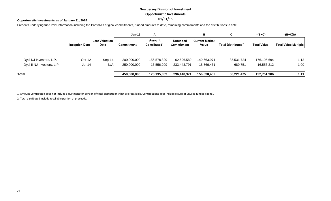# **New Jersey Division of Investment Opportunistic Investments 01/31/15**

## **Opportunistic Investments as of January 31, 2015**

Presents underlying fund level information including the Portfolio's original commitments, funded amounts to date, remaining commitments and the distributions to date.

|                            |                       |                               | $Jan-15$    | A                                  |                               | в                              | C.                             | $=(B+C)$           | $=(B+C)/A$           |
|----------------------------|-----------------------|-------------------------------|-------------|------------------------------------|-------------------------------|--------------------------------|--------------------------------|--------------------|----------------------|
|                            | <b>Inception Date</b> | <b>Last Valuation</b><br>Date | Commitment  | Amount<br>Contributed <sup>1</sup> | <b>Unfunded</b><br>Commitment | <b>Current Market</b><br>Value | Total Distributed <sup>2</sup> | <b>Total Value</b> | Total Value Multiple |
|                            |                       |                               |             |                                    |                               |                                |                                |                    |                      |
| Dyal NJ Investors, L.P.    | $Oct-12$              | $Sep-14$                      | 200,000,000 | 156,578,829                        | 62,696,580                    | 140,663,971                    | 35,531,724                     | 176,195,694        | 1.13                 |
| Dyal II NJ Investors, L.P. | Jul-14                | N/A                           | 250,000,000 | 16,556,209                         | 233,443,791                   | 15,866,461                     | 689,751                        | 16,556,212         | 1.00                 |
| Total                      |                       |                               | 450,000,000 | 173,135,039                        | 296,140,371                   | 156,530,432                    | 36,221,475                     | 192,751,906        | 1.11                 |

1. Amount Contributed does not include adjustment for portion of total distributions that are recallable. Contributions does include return of unused funded capital.

2. Total distributed include recallable portion of proceeds.